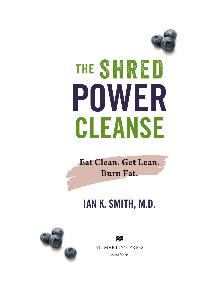

**Eat Clean. Get Lean. Burn Fat.**

## IAN K. SMITH, M.D.



ST. MARTIN'S PRESS *New York*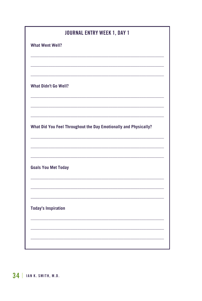| <b>What Went Well?</b><br><b>What Didn't Go Well?</b><br>What Did You Feel Throughout the Day Emotionally and Physically? |
|---------------------------------------------------------------------------------------------------------------------------|
|                                                                                                                           |
|                                                                                                                           |
|                                                                                                                           |
|                                                                                                                           |
|                                                                                                                           |
|                                                                                                                           |
|                                                                                                                           |
|                                                                                                                           |
|                                                                                                                           |
| <b>Goals You Met Today</b>                                                                                                |
|                                                                                                                           |
|                                                                                                                           |
| <b>Today's Inspiration</b>                                                                                                |
|                                                                                                                           |
|                                                                                                                           |
|                                                                                                                           |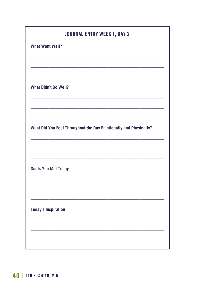|                             | <b>JOURNAL ENTRY WEEK 1, DAY 2</b>                               |
|-----------------------------|------------------------------------------------------------------|
| <b>What Went Well?</b>      |                                                                  |
|                             |                                                                  |
|                             |                                                                  |
|                             |                                                                  |
| <b>What Didn't Go Well?</b> |                                                                  |
|                             |                                                                  |
|                             |                                                                  |
|                             |                                                                  |
|                             | What Did You Feel Throughout the Day Emotionally and Physically? |
|                             |                                                                  |
|                             |                                                                  |
|                             |                                                                  |
| <b>Goals You Met Today</b>  |                                                                  |
|                             |                                                                  |
|                             |                                                                  |
|                             |                                                                  |
| <b>Today's Inspiration</b>  |                                                                  |
|                             |                                                                  |
|                             |                                                                  |
|                             |                                                                  |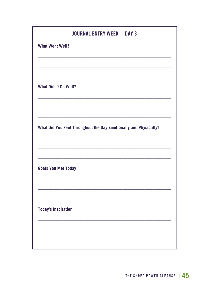| <b>JOURNAL ENTRY WEEK 1, DAY 3</b>                               |
|------------------------------------------------------------------|
| <b>What Went Well?</b>                                           |
|                                                                  |
|                                                                  |
| <b>What Didn't Go Well?</b>                                      |
|                                                                  |
|                                                                  |
| What Did You Feel Throughout the Day Emotionally and Physically? |
|                                                                  |
|                                                                  |
| <b>Goals You Met Today</b>                                       |
|                                                                  |
|                                                                  |
| <b>Today's Inspiration</b>                                       |
|                                                                  |
|                                                                  |
|                                                                  |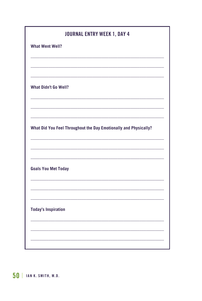| <b>JOURNAL ENTRY WEEK 1, DAY 4</b> |                                                                  |
|------------------------------------|------------------------------------------------------------------|
| <b>What Went Well?</b>             |                                                                  |
|                                    |                                                                  |
|                                    |                                                                  |
|                                    |                                                                  |
| <b>What Didn't Go Well?</b>        |                                                                  |
|                                    |                                                                  |
|                                    |                                                                  |
|                                    |                                                                  |
|                                    | What Did You Feel Throughout the Day Emotionally and Physically? |
|                                    |                                                                  |
|                                    |                                                                  |
|                                    |                                                                  |
| <b>Goals You Met Today</b>         |                                                                  |
|                                    |                                                                  |
|                                    |                                                                  |
|                                    |                                                                  |
| <b>Today's Inspiration</b>         |                                                                  |
|                                    |                                                                  |
|                                    |                                                                  |
|                                    |                                                                  |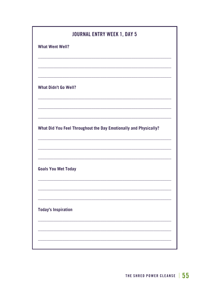|                             | <b>JOURNAL ENTRY WEEK 1, DAY 5</b>                               |  |
|-----------------------------|------------------------------------------------------------------|--|
| <b>What Went Well?</b>      |                                                                  |  |
|                             |                                                                  |  |
|                             |                                                                  |  |
|                             |                                                                  |  |
| <b>What Didn't Go Well?</b> |                                                                  |  |
|                             |                                                                  |  |
|                             |                                                                  |  |
|                             |                                                                  |  |
|                             | What Did You Feel Throughout the Day Emotionally and Physically? |  |
|                             |                                                                  |  |
|                             |                                                                  |  |
|                             |                                                                  |  |
| <b>Goals You Met Today</b>  |                                                                  |  |
|                             |                                                                  |  |
|                             |                                                                  |  |
|                             |                                                                  |  |
| <b>Today's Inspiration</b>  |                                                                  |  |
|                             |                                                                  |  |
|                             |                                                                  |  |
|                             |                                                                  |  |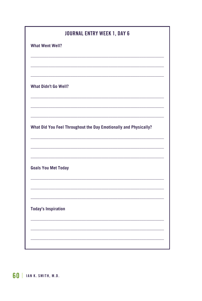| <b>JOURNAL ENTRY WEEK 1, DAY 6</b><br><b>What Went Well?</b> |                                                                  |
|--------------------------------------------------------------|------------------------------------------------------------------|
|                                                              |                                                                  |
|                                                              |                                                                  |
|                                                              |                                                                  |
| <b>What Didn't Go Well?</b>                                  |                                                                  |
|                                                              |                                                                  |
|                                                              |                                                                  |
|                                                              | What Did You Feel Throughout the Day Emotionally and Physically? |
|                                                              |                                                                  |
|                                                              |                                                                  |
|                                                              |                                                                  |
| <b>Goals You Met Today</b>                                   |                                                                  |
|                                                              |                                                                  |
|                                                              |                                                                  |
|                                                              |                                                                  |
| <b>Today's Inspiration</b>                                   |                                                                  |
|                                                              |                                                                  |
|                                                              |                                                                  |
|                                                              |                                                                  |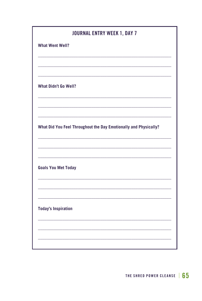| <b>JOURNAL ENTRY WEEK 1, DAY 7</b>                               |
|------------------------------------------------------------------|
| <b>What Went Well?</b>                                           |
|                                                                  |
|                                                                  |
|                                                                  |
| <b>What Didn't Go Well?</b>                                      |
|                                                                  |
|                                                                  |
|                                                                  |
| What Did You Feel Throughout the Day Emotionally and Physically? |
|                                                                  |
|                                                                  |
|                                                                  |
| <b>Goals You Met Today</b>                                       |
|                                                                  |
|                                                                  |
| <b>Today's Inspiration</b>                                       |
|                                                                  |
|                                                                  |
|                                                                  |
|                                                                  |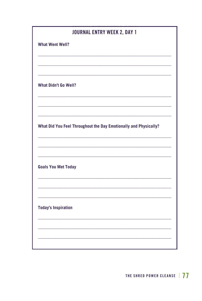|                             | <b>JOURNAL ENTRY WEEK 2, DAY 1</b>                               |
|-----------------------------|------------------------------------------------------------------|
| <b>What Went Well?</b>      |                                                                  |
|                             |                                                                  |
|                             |                                                                  |
|                             |                                                                  |
| <b>What Didn't Go Well?</b> |                                                                  |
|                             |                                                                  |
|                             |                                                                  |
|                             |                                                                  |
|                             | What Did You Feel Throughout the Day Emotionally and Physically? |
|                             |                                                                  |
|                             |                                                                  |
|                             |                                                                  |
| <b>Goals You Met Today</b>  |                                                                  |
|                             |                                                                  |
|                             |                                                                  |
|                             |                                                                  |
| <b>Today's Inspiration</b>  |                                                                  |
|                             |                                                                  |
|                             |                                                                  |
|                             |                                                                  |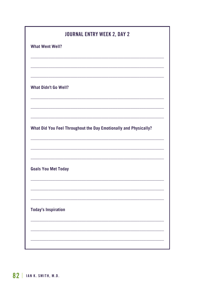|                             | <b>JOURNAL ENTRY WEEK 2, DAY 2</b>                               |
|-----------------------------|------------------------------------------------------------------|
| <b>What Went Well?</b>      |                                                                  |
|                             |                                                                  |
|                             |                                                                  |
|                             |                                                                  |
| <b>What Didn't Go Well?</b> |                                                                  |
|                             |                                                                  |
|                             |                                                                  |
|                             |                                                                  |
|                             | What Did You Feel Throughout the Day Emotionally and Physically? |
|                             |                                                                  |
|                             |                                                                  |
| <b>Goals You Met Today</b>  |                                                                  |
|                             |                                                                  |
|                             |                                                                  |
|                             |                                                                  |
|                             |                                                                  |
| <b>Today's Inspiration</b>  |                                                                  |
|                             |                                                                  |
|                             |                                                                  |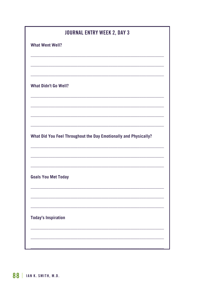| <b>JOURNAL ENTRY WEEK 2, DAY 3</b>                               |
|------------------------------------------------------------------|
| <b>What Went Well?</b>                                           |
|                                                                  |
| <b>What Didn't Go Well?</b>                                      |
|                                                                  |
|                                                                  |
|                                                                  |
| What Did You Feel Throughout the Day Emotionally and Physically? |
|                                                                  |
|                                                                  |
| <b>Goals You Met Today</b>                                       |
|                                                                  |
|                                                                  |
|                                                                  |
| <b>Today's Inspiration</b>                                       |
|                                                                  |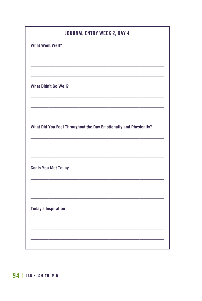| <b>JOURNAL ENTRY WEEK 2, DAY 4</b>                               |  |
|------------------------------------------------------------------|--|
| <b>What Went Well?</b>                                           |  |
|                                                                  |  |
|                                                                  |  |
| <b>What Didn't Go Well?</b>                                      |  |
|                                                                  |  |
|                                                                  |  |
| What Did You Feel Throughout the Day Emotionally and Physically? |  |
|                                                                  |  |
|                                                                  |  |
| <b>Goals You Met Today</b>                                       |  |
|                                                                  |  |
|                                                                  |  |
| <b>Today's Inspiration</b>                                       |  |
|                                                                  |  |
|                                                                  |  |
|                                                                  |  |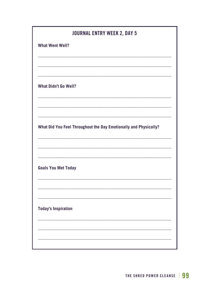|                             | <b>JOURNAL ENTRY WEEK 2, DAY 5</b>                               |
|-----------------------------|------------------------------------------------------------------|
| <b>What Went Well?</b>      |                                                                  |
|                             |                                                                  |
|                             |                                                                  |
|                             |                                                                  |
| <b>What Didn't Go Well?</b> |                                                                  |
|                             |                                                                  |
|                             |                                                                  |
|                             |                                                                  |
|                             | What Did You Feel Throughout the Day Emotionally and Physically? |
|                             |                                                                  |
|                             |                                                                  |
|                             |                                                                  |
| <b>Goals You Met Today</b>  |                                                                  |
|                             |                                                                  |
|                             |                                                                  |
|                             |                                                                  |
| <b>Today's Inspiration</b>  |                                                                  |
|                             |                                                                  |
|                             |                                                                  |
|                             |                                                                  |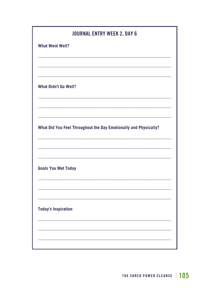| <b>JOURNAL ENTRY WEEK 2, DAY 6</b>                               |
|------------------------------------------------------------------|
| <b>What Went Well?</b>                                           |
|                                                                  |
|                                                                  |
| <b>What Didn't Go Well?</b>                                      |
|                                                                  |
|                                                                  |
| What Did You Feel Throughout the Day Emotionally and Physically? |
|                                                                  |
|                                                                  |
| <b>Goals You Met Today</b>                                       |
|                                                                  |
|                                                                  |
| <b>Today's Inspiration</b>                                       |
|                                                                  |
|                                                                  |
|                                                                  |